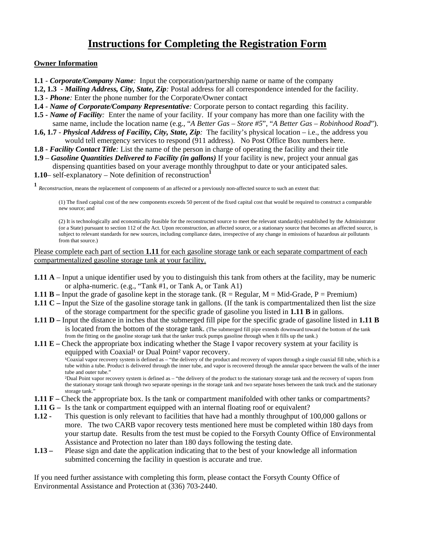## **Instructions for Completing the Registration Form**

## **Owner Information**

- **1.1** *- Corporate/Company Name:* Input the corporation/partnership name or name of the company
- **1.2, 1.3** *Mailing Address, City, State, Zip:* Postal address for all correspondence intended for the facility.
- **1.3** *- Phone:* Enter the phone number for the Corporate/Owner contact
- **1.4**  *Name of Corporate/Company Representative:* Corporate person to contact regarding this facility.
- **1.5** *Name of Facility:* Enter the name of your facility. If your company has more than one facility with the same name, include the location name (e.g., "*A Better Gas – Store #5*", "*A Better Gas – Robinhood Road*").
- **1.6, 1.7** *- Physical Address of Facility, City, State, Zip:* The facility's physical location i.e., the address you would tell emergency services to respond (911 address). No Post Office Box numbers here.
- **1.8** *Facility Contact Title:* List the name of the person in charge of operating the facility and their title
- **1.9** *Gasoline Quantities Delivered to Facility (in gallons)* If your facility is new, project your annual gas dispensing quantities based on your average monthly throughput to date or your anticipated sales.
- **1.10** self-explanatory Note definition of reconstruction**<sup>1</sup>**

**1** *Reconstruction,* means the replacement of components of an affected or a previously non-affected source to such an extent that:

(1) The fixed capital cost of the new components exceeds 50 percent of the fixed capital cost that would be required to construct a comparable new source; and

(2) It is technologically and economically feasible for the reconstructed source to meet the relevant standard(s) established by the Administrator (or a State) pursuant to section 112 of the Act. Upon reconstruction, an affected source, or a stationary source that becomes an affected source, is subject to relevant standards for new sources, including compliance dates, irrespective of any change in emissions of hazardous air pollutants from that source.)

Please complete each part of section **1.11** for each gasoline storage tank or each separate compartment of each compartmentalized gasoline storage tank at your facility.

- **1.11 A**  Input a unique identifier used by you to distinguish this tank from others at the facility, may be numeric or alpha-numeric. (e.g., "Tank #1, or Tank A, or Tank A1)
- **1.11 B** Input the grade of gasoline kept in the storage tank.  $(R = Regular, M = Mid-Grade, P = Premium)$
- **1.11 C** Input the Size of the gasoline storage tank in gallons. (If the tank is compartmentalized then list the size of the storage compartment for the specific grade of gasoline you listed in **1.11 B** in gallons.
- **1.11 D** Input the distance in inches that the submerged fill pipe for the specific grade of gasoline listed in **1.11 B**  is located from the bottom of the storage tank. (The submerged fill pipe extends downward toward the bottom of the tank from the fitting on the gasoline storage tank that the tanker truck pumps gasoline through when it fills up the tank.)
- **1.11 E** Check the appropriate box indicating whether the Stage I vapor recovery system at your facility is equipped with Coaxial<sup>1</sup> or Dual Point<sup>2</sup> vapor recovery. <sup>1</sup>Coaxial vapor recovery system is defined as – "the delivery of the product and recovery of vapors through a single coaxial fill tube, which is a tube within a tube. Product is delivered through the inner tube, and vapor is recovered through the annular space between the walls of the inner tube and outer tube." ²Dual Point vapor recovery system is defined as – "the delivery of the product to the stationary storage tank and the recovery of vapors from the stationary storage tank through two separate openings in the storage tank and two separate hoses between the tank truck and the stationary storage tank."
- **1.11 F** Check the appropriate box. Is the tank or compartment manifolded with other tanks or compartments?
- **1.11 G** Is the tank or compartment equipped with an internal floating roof or equivalent?
- **1.12** This question is only relevant to facilities that have had a monthly throughput of 100,000 gallons or more. The two CARB vapor recovery tests mentioned here must be completed within 180 days from your startup date. Results from the test must be copied to the Forsyth County Office of Environmental Assistance and Protection no later than 180 days following the testing date.
- **1.13** Please sign and date the application indicating that to the best of your knowledge all information submitted concerning the facility in question is accurate and true.

If you need further assistance with completing this form, please contact the Forsyth County Office of Environmental Assistance and Protection at (336) 703-2440.